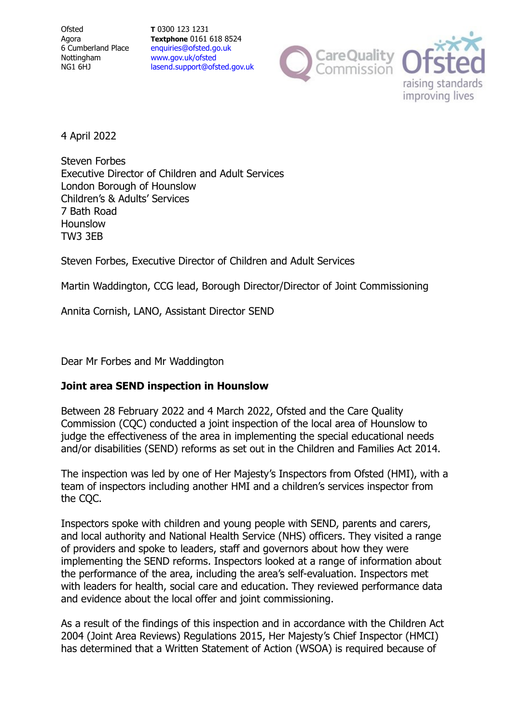**Ofsted** Agora 6 Cumberland Place Nottingham NG1 6HJ

**T** 0300 123 1231 **Textphone** 0161 618 8524 [enquiries@ofsted.go.uk](mailto:enquiries@ofsted.go.uk) [www.gov.uk/ofsted](http://www.gov.uk/ofsted) [lasend.support@ofsted.gov.uk](mailto:lasend.support@ofsted.gov.uk)





4 April 2022

Steven Forbes Executive Director of Children and Adult Services London Borough of Hounslow Children's & Adults' Services 7 Bath Road Hounslow TW3 3EB

Steven Forbes, Executive Director of Children and Adult Services

Martin Waddington, CCG lead, Borough Director/Director of Joint Commissioning

Annita Cornish, LANO, Assistant Director SEND

Dear Mr Forbes and Mr Waddington

## **Joint area SEND inspection in Hounslow**

Between 28 February 2022 and 4 March 2022, Ofsted and the Care Quality Commission (CQC) conducted a joint inspection of the local area of Hounslow to judge the effectiveness of the area in implementing the special educational needs and/or disabilities (SEND) reforms as set out in the Children and Families Act 2014.

The inspection was led by one of Her Majesty's Inspectors from Ofsted (HMI), with a team of inspectors including another HMI and a children's services inspector from the CQC.

Inspectors spoke with children and young people with SEND, parents and carers, and local authority and National Health Service (NHS) officers. They visited a range of providers and spoke to leaders, staff and governors about how they were implementing the SEND reforms. Inspectors looked at a range of information about the performance of the area, including the area's self-evaluation. Inspectors met with leaders for health, social care and education. They reviewed performance data and evidence about the local offer and joint commissioning.

As a result of the findings of this inspection and in accordance with the Children Act 2004 (Joint Area Reviews) Regulations 2015, Her Majesty's Chief Inspector (HMCI) has determined that a Written Statement of Action (WSOA) is required because of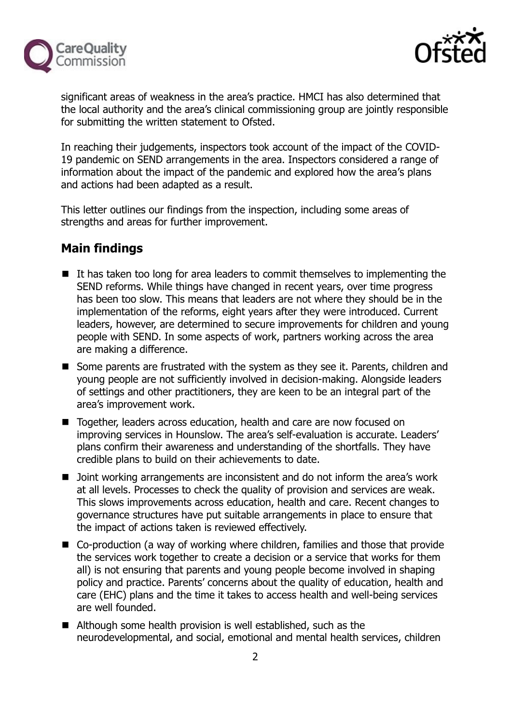



significant areas of weakness in the area's practice. HMCI has also determined that the local authority and the area's clinical commissioning group are jointly responsible for submitting the written statement to Ofsted.

In reaching their judgements, inspectors took account of the impact of the COVID-19 pandemic on SEND arrangements in the area. Inspectors considered a range of information about the impact of the pandemic and explored how the area's plans and actions had been adapted as a result.

This letter outlines our findings from the inspection, including some areas of strengths and areas for further improvement.

# **Main findings**

- $\blacksquare$  It has taken too long for area leaders to commit themselves to implementing the SEND reforms. While things have changed in recent years, over time progress has been too slow. This means that leaders are not where they should be in the implementation of the reforms, eight years after they were introduced. Current leaders, however, are determined to secure improvements for children and young people with SEND. In some aspects of work, partners working across the area are making a difference.
- Some parents are frustrated with the system as they see it. Parents, children and young people are not sufficiently involved in decision-making. Alongside leaders of settings and other practitioners, they are keen to be an integral part of the area's improvement work.
- Together, leaders across education, health and care are now focused on improving services in Hounslow. The area's self-evaluation is accurate. Leaders' plans confirm their awareness and understanding of the shortfalls. They have credible plans to build on their achievements to date.
- **Demoglem** Joint working arrangements are inconsistent and do not inform the area's work at all levels. Processes to check the quality of provision and services are weak. This slows improvements across education, health and care. Recent changes to governance structures have put suitable arrangements in place to ensure that the impact of actions taken is reviewed effectively.
- Co-production (a way of working where children, families and those that provide the services work together to create a decision or a service that works for them all) is not ensuring that parents and young people become involved in shaping policy and practice. Parents' concerns about the quality of education, health and care (EHC) plans and the time it takes to access health and well-being services are well founded.
- Although some health provision is well established, such as the neurodevelopmental, and social, emotional and mental health services, children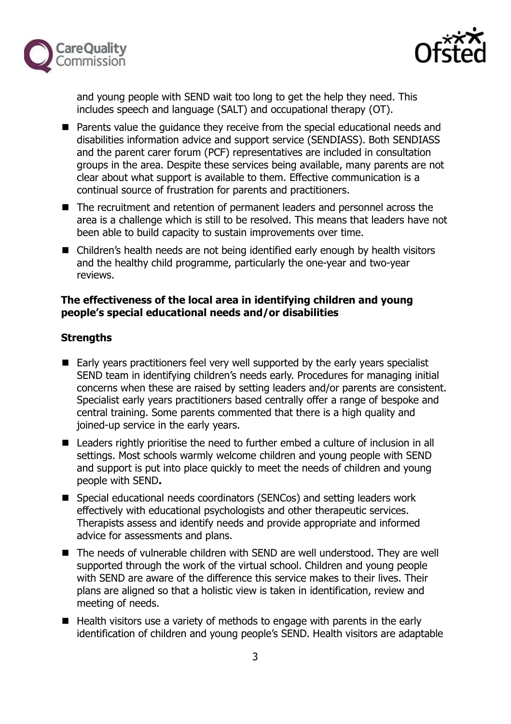



and young people with SEND wait too long to get the help they need. This includes speech and language (SALT) and occupational therapy (OT).

- Parents value the quidance they receive from the special educational needs and disabilities information advice and support service (SENDIASS). Both SENDIASS and the parent carer forum (PCF) representatives are included in consultation groups in the area. Despite these services being available, many parents are not clear about what support is available to them. Effective communication is a continual source of frustration for parents and practitioners.
- The recruitment and retention of permanent leaders and personnel across the area is a challenge which is still to be resolved. This means that leaders have not been able to build capacity to sustain improvements over time.
- Children's health needs are not being identified early enough by health visitors and the healthy child programme, particularly the one-year and two-year reviews.

#### **The effectiveness of the local area in identifying children and young people's special educational needs and/or disabilities**

## **Strengths**

- Early years practitioners feel very well supported by the early years specialist SEND team in identifying children's needs early. Procedures for managing initial concerns when these are raised by setting leaders and/or parents are consistent. Specialist early years practitioners based centrally offer a range of bespoke and central training. Some parents commented that there is a high quality and joined-up service in the early years.
- Leaders rightly prioritise the need to further embed a culture of inclusion in all settings. Most schools warmly welcome children and young people with SEND and support is put into place quickly to meet the needs of children and young people with SEND**.**
- Special educational needs coordinators (SENCos) and setting leaders work effectively with educational psychologists and other therapeutic services. Therapists assess and identify needs and provide appropriate and informed advice for assessments and plans.
- The needs of vulnerable children with SEND are well understood. They are well supported through the work of the virtual school. Children and young people with SEND are aware of the difference this service makes to their lives. Their plans are aligned so that a holistic view is taken in identification, review and meeting of needs.
- $\blacksquare$  Health visitors use a variety of methods to engage with parents in the early identification of children and young people's SEND. Health visitors are adaptable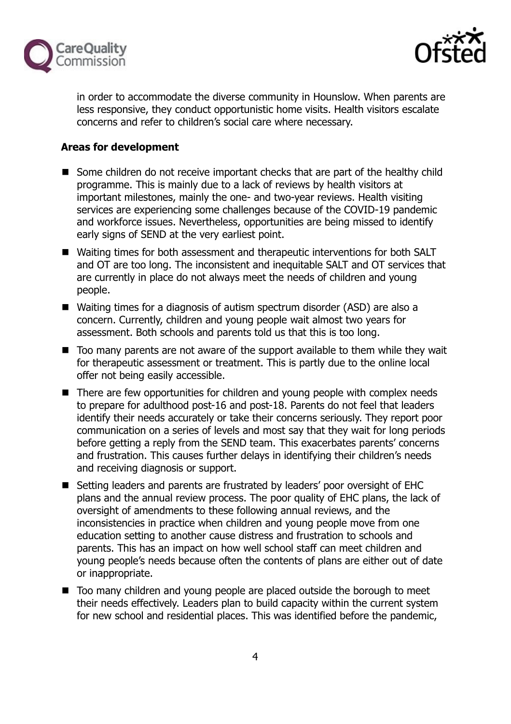



in order to accommodate the diverse community in Hounslow. When parents are less responsive, they conduct opportunistic home visits. Health visitors escalate concerns and refer to children's social care where necessary.

## **Areas for development**

- Some children do not receive important checks that are part of the healthy child programme. This is mainly due to a lack of reviews by health visitors at important milestones, mainly the one- and two-year reviews. Health visiting services are experiencing some challenges because of the COVID-19 pandemic and workforce issues. Nevertheless, opportunities are being missed to identify early signs of SEND at the very earliest point.
- Waiting times for both assessment and therapeutic interventions for both SALT and OT are too long. The inconsistent and inequitable SALT and OT services that are currently in place do not always meet the needs of children and young people.
- Waiting times for a diagnosis of autism spectrum disorder (ASD) are also a concern. Currently, children and young people wait almost two years for assessment. Both schools and parents told us that this is too long.
- Too many parents are not aware of the support available to them while they wait for therapeutic assessment or treatment. This is partly due to the online local offer not being easily accessible.
- There are few opportunities for children and young people with complex needs to prepare for adulthood post-16 and post-18. Parents do not feel that leaders identify their needs accurately or take their concerns seriously. They report poor communication on a series of levels and most say that they wait for long periods before getting a reply from the SEND team. This exacerbates parents' concerns and frustration. This causes further delays in identifying their children's needs and receiving diagnosis or support.
- Setting leaders and parents are frustrated by leaders' poor oversight of EHC plans and the annual review process. The poor quality of EHC plans, the lack of oversight of amendments to these following annual reviews, and the inconsistencies in practice when children and young people move from one education setting to another cause distress and frustration to schools and parents. This has an impact on how well school staff can meet children and young people's needs because often the contents of plans are either out of date or inappropriate.
- Too many children and young people are placed outside the borough to meet their needs effectively. Leaders plan to build capacity within the current system for new school and residential places. This was identified before the pandemic,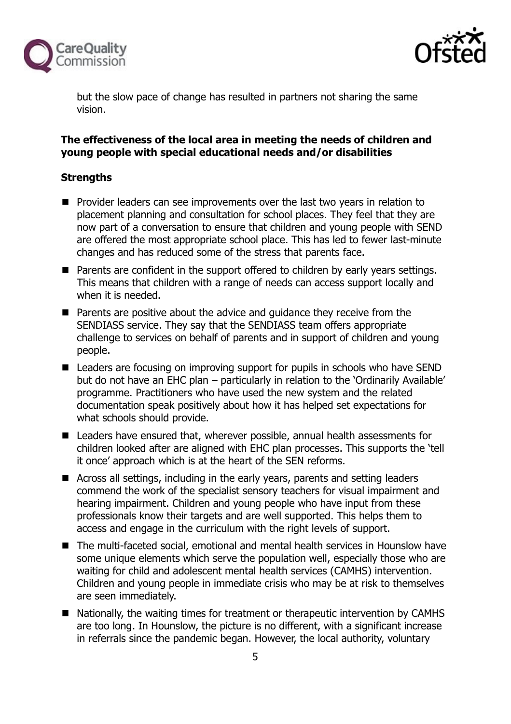



but the slow pace of change has resulted in partners not sharing the same vision.

#### **The effectiveness of the local area in meeting the needs of children and young people with special educational needs and/or disabilities**

## **Strengths**

- **Provider leaders can see improvements over the last two years in relation to** placement planning and consultation for school places. They feel that they are now part of a conversation to ensure that children and young people with SEND are offered the most appropriate school place. This has led to fewer last-minute changes and has reduced some of the stress that parents face.
- Parents are confident in the support offered to children by early years settings. This means that children with a range of needs can access support locally and when it is needed.
- Parents are positive about the advice and quidance they receive from the SENDIASS service. They say that the SENDIASS team offers appropriate challenge to services on behalf of parents and in support of children and young people.
- Leaders are focusing on improving support for pupils in schools who have SEND but do not have an EHC plan – particularly in relation to the 'Ordinarily Available' programme. Practitioners who have used the new system and the related documentation speak positively about how it has helped set expectations for what schools should provide.
- Leaders have ensured that, wherever possible, annual health assessments for children looked after are aligned with EHC plan processes. This supports the 'tell it once' approach which is at the heart of the SEN reforms.
- Across all settings, including in the early years, parents and setting leaders commend the work of the specialist sensory teachers for visual impairment and hearing impairment. Children and young people who have input from these professionals know their targets and are well supported. This helps them to access and engage in the curriculum with the right levels of support.
- The multi-faceted social, emotional and mental health services in Hounslow have some unique elements which serve the population well, especially those who are waiting for child and adolescent mental health services (CAMHS) intervention. Children and young people in immediate crisis who may be at risk to themselves are seen immediately.
- Nationally, the waiting times for treatment or therapeutic intervention by CAMHS are too long. In Hounslow, the picture is no different, with a significant increase in referrals since the pandemic began. However, the local authority, voluntary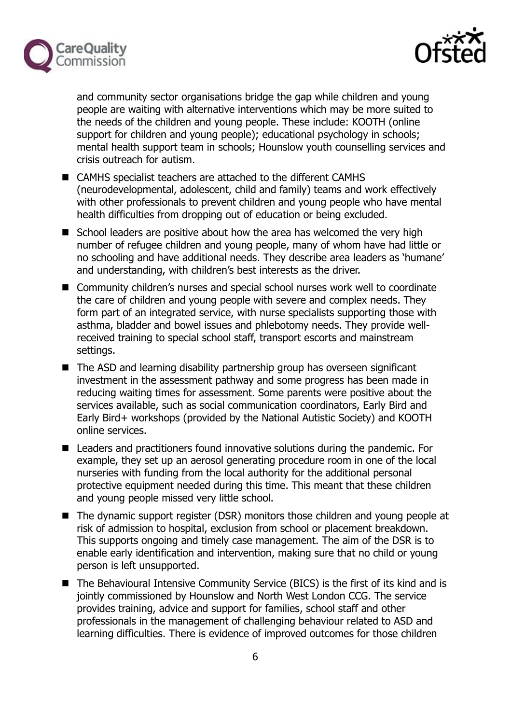



and community sector organisations bridge the gap while children and young people are waiting with alternative interventions which may be more suited to the needs of the children and young people. These include: KOOTH (online support for children and young people); educational psychology in schools; mental health support team in schools; Hounslow youth counselling services and crisis outreach for autism.

- CAMHS specialist teachers are attached to the different CAMHS (neurodevelopmental, adolescent, child and family) teams and work effectively with other professionals to prevent children and young people who have mental health difficulties from dropping out of education or being excluded.
- School leaders are positive about how the area has welcomed the very high number of refugee children and young people, many of whom have had little or no schooling and have additional needs. They describe area leaders as 'humane' and understanding, with children's best interests as the driver.
- Community children's nurses and special school nurses work well to coordinate the care of children and young people with severe and complex needs. They form part of an integrated service, with nurse specialists supporting those with asthma, bladder and bowel issues and phlebotomy needs. They provide wellreceived training to special school staff, transport escorts and mainstream settings.
- The ASD and learning disability partnership group has overseen significant investment in the assessment pathway and some progress has been made in reducing waiting times for assessment. Some parents were positive about the services available, such as social communication coordinators, Early Bird and Early Bird+ workshops (provided by the National Autistic Society) and KOOTH online services.
- Leaders and practitioners found innovative solutions during the pandemic. For example, they set up an aerosol generating procedure room in one of the local nurseries with funding from the local authority for the additional personal protective equipment needed during this time. This meant that these children and young people missed very little school.
- The dynamic support register (DSR) monitors those children and young people at risk of admission to hospital, exclusion from school or placement breakdown. This supports ongoing and timely case management. The aim of the DSR is to enable early identification and intervention, making sure that no child or young person is left unsupported.
- The Behavioural Intensive Community Service (BICS) is the first of its kind and is jointly commissioned by Hounslow and North West London CCG. The service provides training, advice and support for families, school staff and other professionals in the management of challenging behaviour related to ASD and learning difficulties. There is evidence of improved outcomes for those children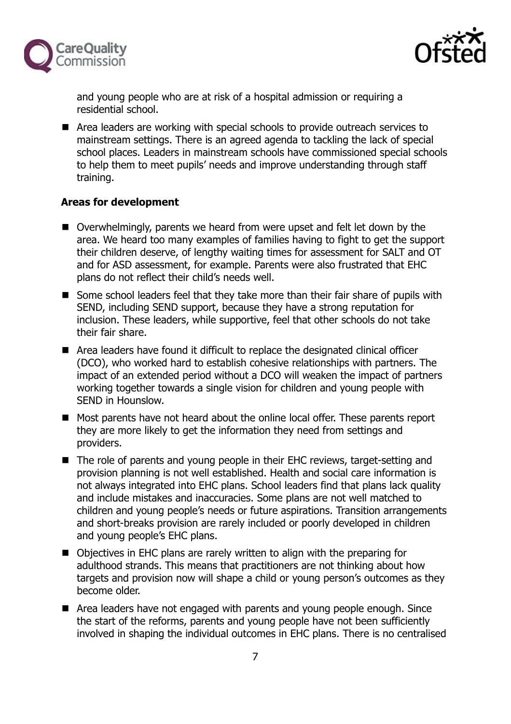



and young people who are at risk of a hospital admission or requiring a residential school.

■ Area leaders are working with special schools to provide outreach services to mainstream settings. There is an agreed agenda to tackling the lack of special school places. Leaders in mainstream schools have commissioned special schools to help them to meet pupils' needs and improve understanding through staff training.

## **Areas for development**

- Overwhelmingly, parents we heard from were upset and felt let down by the area. We heard too many examples of families having to fight to get the support their children deserve, of lengthy waiting times for assessment for SALT and OT and for ASD assessment, for example. Parents were also frustrated that EHC plans do not reflect their child's needs well.
- Some school leaders feel that they take more than their fair share of pupils with SEND, including SEND support, because they have a strong reputation for inclusion. These leaders, while supportive, feel that other schools do not take their fair share.
- Area leaders have found it difficult to replace the designated clinical officer (DCO), who worked hard to establish cohesive relationships with partners. The impact of an extended period without a DCO will weaken the impact of partners working together towards a single vision for children and young people with SEND in Hounslow.
- Most parents have not heard about the online local offer. These parents report they are more likely to get the information they need from settings and providers.
- The role of parents and young people in their EHC reviews, target-setting and provision planning is not well established. Health and social care information is not always integrated into EHC plans. School leaders find that plans lack quality and include mistakes and inaccuracies. Some plans are not well matched to children and young people's needs or future aspirations. Transition arrangements and short-breaks provision are rarely included or poorly developed in children and young people's EHC plans.
- Objectives in EHC plans are rarely written to align with the preparing for adulthood strands. This means that practitioners are not thinking about how targets and provision now will shape a child or young person's outcomes as they become older.
- Area leaders have not engaged with parents and young people enough. Since the start of the reforms, parents and young people have not been sufficiently involved in shaping the individual outcomes in EHC plans. There is no centralised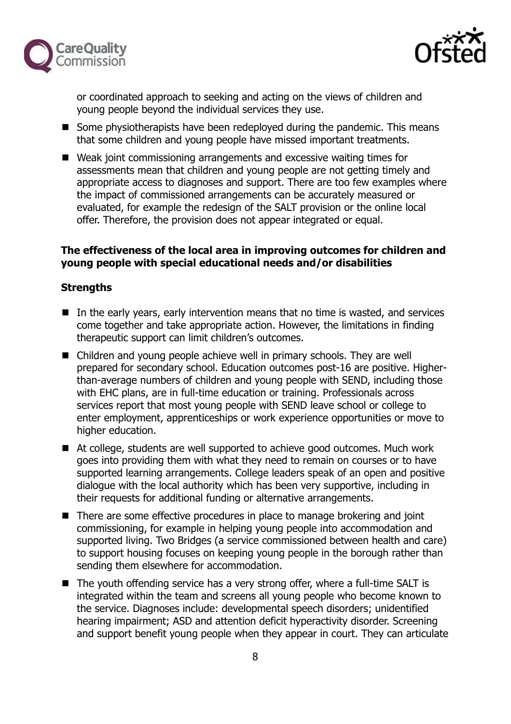



or coordinated approach to seeking and acting on the views of children and young people beyond the individual services they use.

- Some physiotherapists have been redeployed during the pandemic. This means that some children and young people have missed important treatments.
- Weak joint commissioning arrangements and excessive waiting times for assessments mean that children and young people are not getting timely and appropriate access to diagnoses and support. There are too few examples where the impact of commissioned arrangements can be accurately measured or evaluated, for example the redesign of the SALT provision or the online local offer. Therefore, the provision does not appear integrated or equal.

## **The effectiveness of the local area in improving outcomes for children and young people with special educational needs and/or disabilities**

#### **Strengths**

- $\blacksquare$  In the early years, early intervention means that no time is wasted, and services come together and take appropriate action. However, the limitations in finding therapeutic support can limit children's outcomes.
- Children and young people achieve well in primary schools. They are well prepared for secondary school. Education outcomes post-16 are positive. Higherthan-average numbers of children and young people with SEND, including those with EHC plans, are in full-time education or training. Professionals across services report that most young people with SEND leave school or college to enter employment, apprenticeships or work experience opportunities or move to higher education.
- At college, students are well supported to achieve good outcomes. Much work goes into providing them with what they need to remain on courses or to have supported learning arrangements. College leaders speak of an open and positive dialogue with the local authority which has been very supportive, including in their requests for additional funding or alternative arrangements.
- There are some effective procedures in place to manage brokering and joint commissioning, for example in helping young people into accommodation and supported living. Two Bridges (a service commissioned between health and care) to support housing focuses on keeping young people in the borough rather than sending them elsewhere for accommodation.
- The youth offending service has a very strong offer, where a full-time SALT is integrated within the team and screens all young people who become known to the service. Diagnoses include: developmental speech disorders; unidentified hearing impairment; ASD and attention deficit hyperactivity disorder. Screening and support benefit young people when they appear in court. They can articulate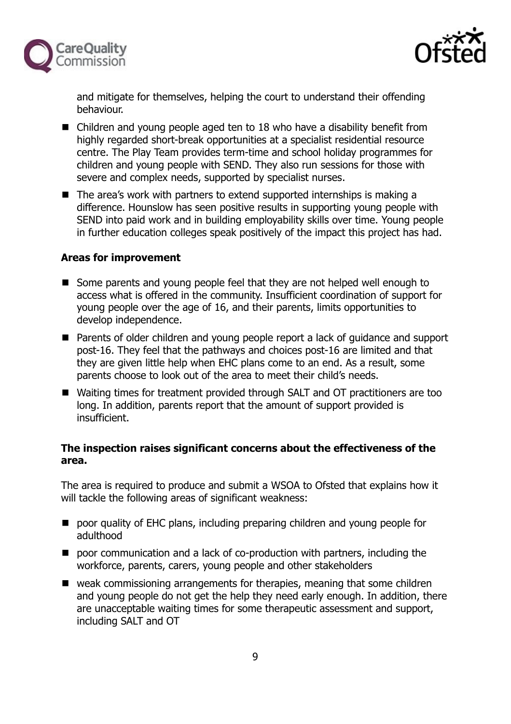



and mitigate for themselves, helping the court to understand their offending behaviour.

- Children and young people aged ten to 18 who have a disability benefit from highly regarded short-break opportunities at a specialist residential resource centre. The Play Team provides term-time and school holiday programmes for children and young people with SEND. They also run sessions for those with severe and complex needs, supported by specialist nurses.
- The area's work with partners to extend supported internships is making a difference. Hounslow has seen positive results in supporting young people with SEND into paid work and in building employability skills over time. Young people in further education colleges speak positively of the impact this project has had.

#### **Areas for improvement**

- Some parents and young people feel that they are not helped well enough to access what is offered in the community. Insufficient coordination of support for young people over the age of 16, and their parents, limits opportunities to develop independence.
- Parents of older children and young people report a lack of guidance and support post-16. They feel that the pathways and choices post-16 are limited and that they are given little help when EHC plans come to an end. As a result, some parents choose to look out of the area to meet their child's needs.
- Waiting times for treatment provided through SALT and OT practitioners are too long. In addition, parents report that the amount of support provided is insufficient.

## **The inspection raises significant concerns about the effectiveness of the area.**

The area is required to produce and submit a WSOA to Ofsted that explains how it will tackle the following areas of significant weakness:

- poor quality of EHC plans, including preparing children and young people for adulthood
- **P** poor communication and a lack of co-production with partners, including the workforce, parents, carers, young people and other stakeholders
- weak commissioning arrangements for therapies, meaning that some children and young people do not get the help they need early enough. In addition, there are unacceptable waiting times for some therapeutic assessment and support, including SALT and OT